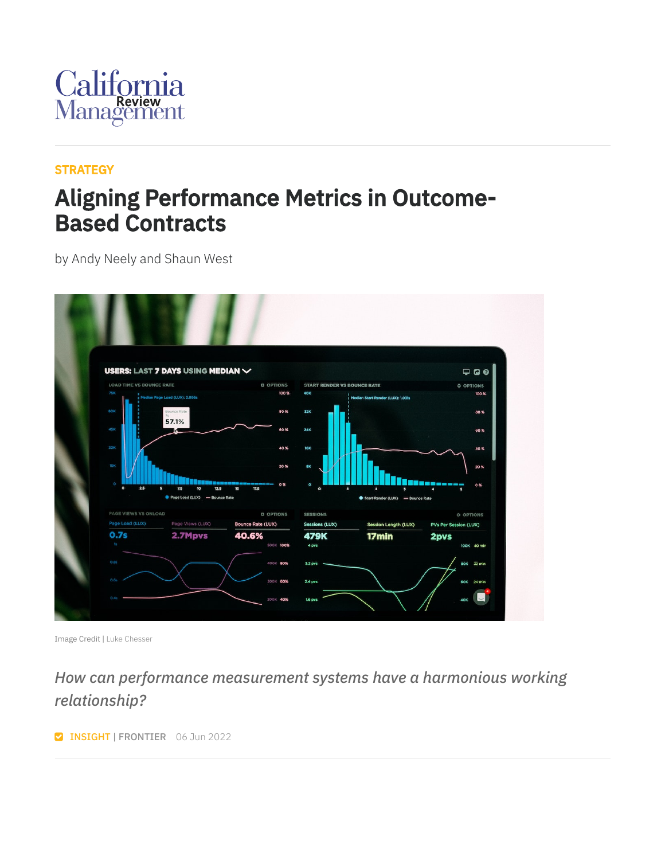

#### **[STRATEGY](https://cmr.berkeley.edu/browse/topics/strategy/)**

### Aligning Performance Metrics in Outcome-Based Contracts

by Andy Neely and Shaun West



Image Credit | Luke [Chesser](https://unsplash.com/photos/JKUTrJ4vK00)

#### *How can performance measurement systems have a harmonious working relationship?*

**Z INSIGHT | FRONTIER** 06 Jun 2022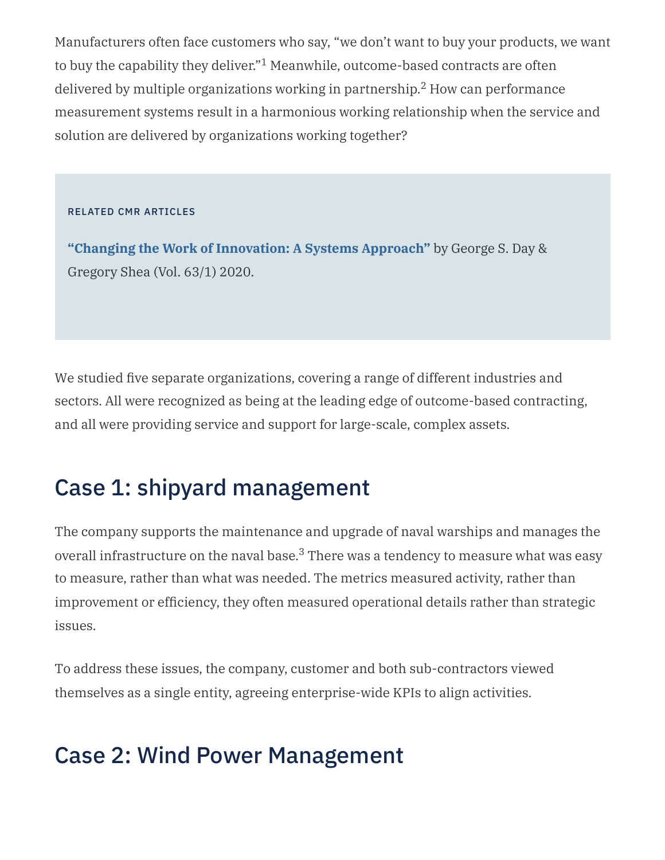Manufacturers often face customers who say, "we don't want to buy your products, we want to buy the capability they deliver." $^1$  Meanwhile, outcome-based contracts are often delivered by multiple organizations working in partnership. $^2$  How can performance measurement systems result in a harmonious working relationship when the service and solution are delivered by organizations working together?

#### RELATED CMR ARTICLES

**"Changing the Work of [Innovation:](https://journals.sagepub.com/doi/full/10.1177/0008125620962123) A Systems Approach"** by George S. Day & Gregory Shea (Vol. 63/1) 2020.

We studied five separate organizations, covering a range of different industries and sectors. All were recognized as being at the leading edge of outcome-based contracting, and all were providing service and support for large-scale, complex assets.

### Case 1: shipyard management

The company supports the maintenance and upgrade of naval warships and manages the overall infrastructure on the naval base. $^3$  There was a tendency to measure what was easy to measure, rather than what was needed. The metrics measured activity, rather than improvement or efficiency, they often measured operational details rather than strategic issues.

To address these issues, the company, customer and both sub-contractors viewed themselves as a single entity, agreeing enterprise-wide KPIs to align activities.

#### Case 2: Wind Power Management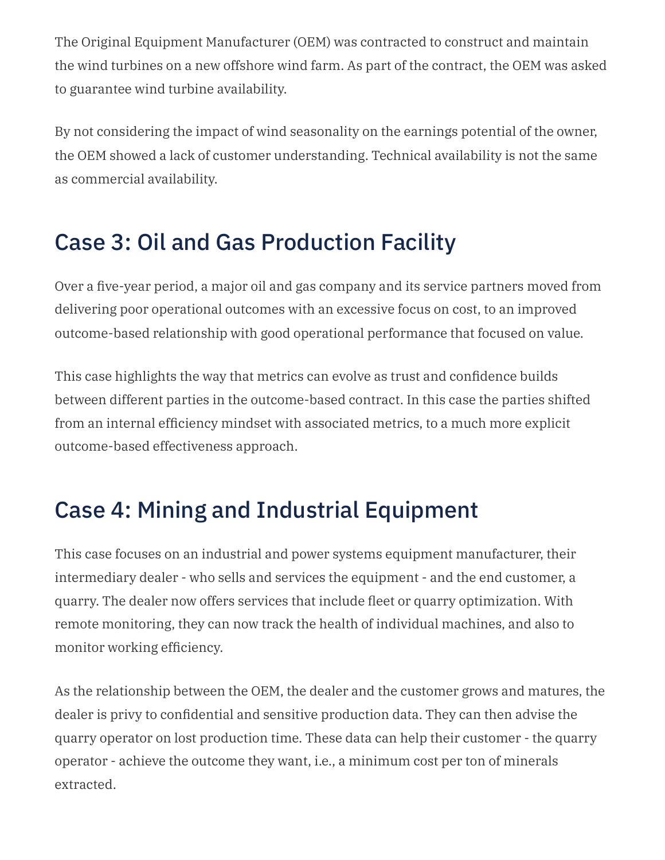The Original Equipment Manufacturer (OEM) was contracted to construct and maintain the wind turbines on a new offshore wind farm. As part of the contract, the OEM was asked to guarantee wind turbine availability.

By not considering the impact of wind seasonality on the earnings potential of the owner, the OEM showed a lack of customer understanding. Technical availability is not the same as commercial availability.

## Case 3: Oil and Gas Production Facility

Over a five-year period, a major oil and gas company and its service partners moved from delivering poor operational outcomes with an excessive focus on cost, to an improved outcome-based relationship with good operational performance that focused on value.

This case highlights the way that metrics can evolve as trust and confidence builds between different parties in the outcome-based contract. In this case the parties shifted from an internal efficiency mindset with associated metrics, to a much more explicit outcome-based effectiveness approach.

### Case 4: Mining and Industrial Equipment

This case focuses on an industrial and power systems equipment manufacturer, their intermediary dealer - who sells and services the equipment - and the end customer, a quarry. The dealer now offers services that include fleet or quarry optimization. With remote monitoring, they can now track the health of individual machines, and also to monitor working efficiency.

As the relationship between the OEM, the dealer and the customer grows and matures, the dealer is privy to confidential and sensitive production data. They can then advise the quarry operator on lost production time. These data can help their customer - the quarry operator - achieve the outcome they want, i.e., a minimum cost per ton of minerals extracted.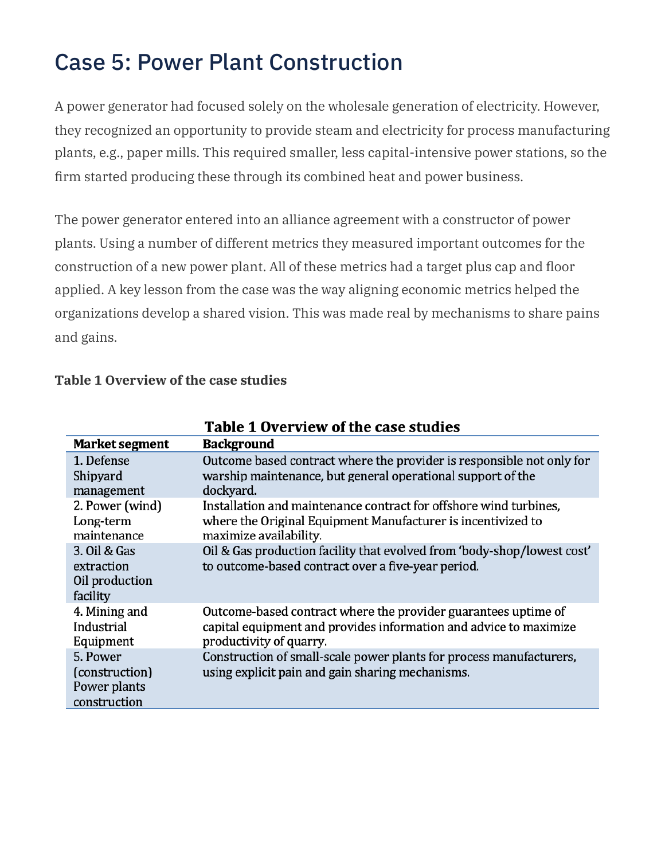### Case 5: Power Plant Construction

A power generator had focused solely on the wholesale generation of electricity. However, they recognized an opportunity to provide steam and electricity for process manufacturing plants, e.g., paper mills. This required smaller, less capital-intensive power stations, so the firm started producing these through its combined heat and power business.

The power generator entered into an alliance agreement with a constructor of power plants. Using a number of different metrics they measured important outcomes for the construction of a new power plant. All of these metrics had a target plus cap and floor applied. A key lesson from the case was the way aligning economic metrics helped the organizations develop a shared vision. This was made real by mechanisms to share pains and gains.

|                                                            | Table 1 Overview of the case studies                                                                                                                           |
|------------------------------------------------------------|----------------------------------------------------------------------------------------------------------------------------------------------------------------|
| Market segment                                             | <b>Background</b>                                                                                                                                              |
| 1. Defense<br>Shipyard<br>management                       | Outcome based contract where the provider is responsible not only for<br>warship maintenance, but general operational support of the<br>dockyard.              |
| 2. Power (wind)<br>Long-term<br>maintenance                | Installation and maintenance contract for offshore wind turbines,<br>where the Original Equipment Manufacturer is incentivized to<br>maximize availability.    |
| 3. Oil & Gas<br>extraction<br>Oil production<br>facility   | Oil & Gas production facility that evolved from 'body-shop/lowest cost'<br>to outcome-based contract over a five-year period.                                  |
| 4. Mining and<br>Industrial<br>Equipment                   | Outcome-based contract where the provider guarantees uptime of<br>capital equipment and provides information and advice to maximize<br>productivity of quarry. |
| 5. Power<br>(construction)<br>Power plants<br>construction | Construction of small-scale power plants for process manufacturers,<br>using explicit pain and gain sharing mechanisms.                                        |

#### **Table 1 Overview of the case studies**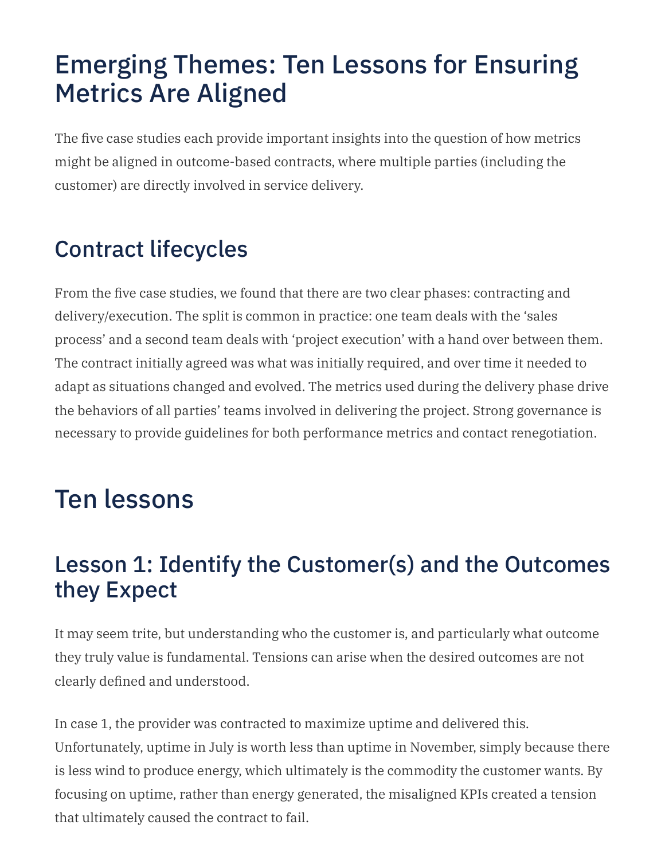## Emerging Themes: Ten Lessons for Ensuring Metrics Are Aligned

The five case studies each provide important insights into the question of how metrics might be aligned in outcome-based contracts, where multiple parties (including the customer) are directly involved in service delivery.

## Contract lifecycles

From the five case studies, we found that there are two clear phases: contracting and delivery/execution. The split is common in practice: one team deals with the 'sales process' and a second team deals with 'project execution' with a hand over between them. The contract initially agreed was what was initially required, and over time it needed to adapt as situations changed and evolved. The metrics used during the delivery phase drive the behaviors of all parties' teams involved in delivering the project. Strong governance is necessary to provide guidelines for both performance metrics and contact renegotiation.

## Ten lessons

#### Lesson 1: Identify the Customer(s) and the Outcomes they Expect

It may seem trite, but understanding who the customer is, and particularly what outcome they truly value is fundamental. Tensions can arise when the desired outcomes are not clearly defined and understood.

In case 1, the provider was contracted to maximize uptime and delivered this. Unfortunately, uptime in July is worth less than uptime in November, simply because there is less wind to produce energy, which ultimately is the commodity the customer wants. By focusing on uptime, rather than energy generated, the misaligned KPIs created a tension that ultimately caused the contract to fail.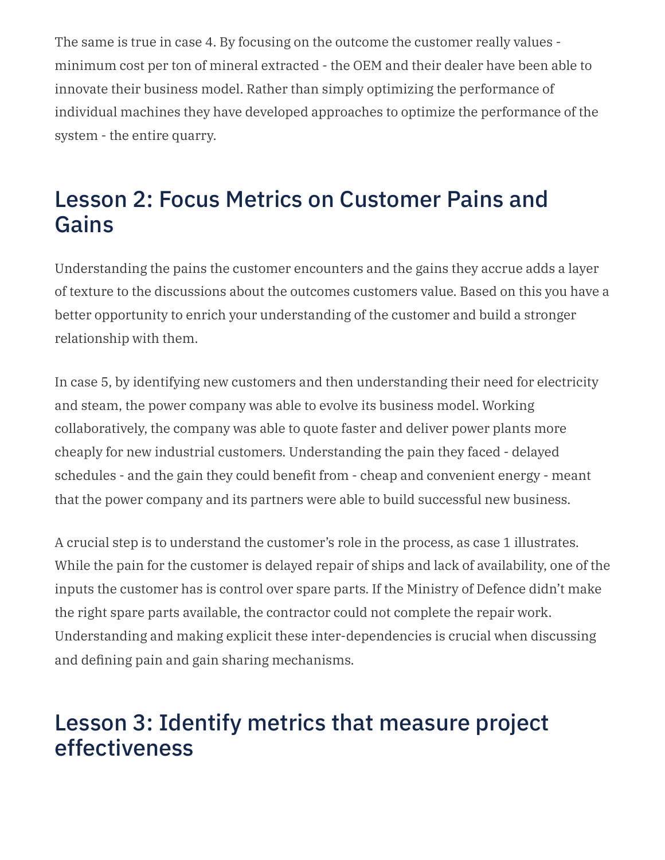The same is true in case 4. By focusing on the outcome the customer really values minimum cost per ton of mineral extracted - the OEM and their dealer have been able to innovate their business model. Rather than simply optimizing the performance of individual machines they have developed approaches to optimize the performance of the system - the entire quarry.

#### Lesson 2: Focus Metrics on Customer Pains and Gains

Understanding the pains the customer encounters and the gains they accrue adds a layer of texture to the discussions about the outcomes customers value. Based on this you have a better opportunity to enrich your understanding of the customer and build a stronger relationship with them.

In case 5, by identifying new customers and then understanding their need for electricity and steam, the power company was able to evolve its business model. Working collaboratively, the company was able to quote faster and deliver power plants more cheaply for new industrial customers. Understanding the pain they faced - delayed schedules - and the gain they could benefit from - cheap and convenient energy - meant that the power company and its partners were able to build successful new business.

A crucial step is to understand the customer's role in the process, as case 1 illustrates. While the pain for the customer is delayed repair of ships and lack of availability, one of the inputs the customer has is control over spare parts. If the Ministry of Defence didn't make the right spare parts available, the contractor could not complete the repair work. Understanding and making explicit these inter-dependencies is crucial when discussing and defining pain and gain sharing mechanisms.

#### Lesson 3: Identify metrics that measure project effectiveness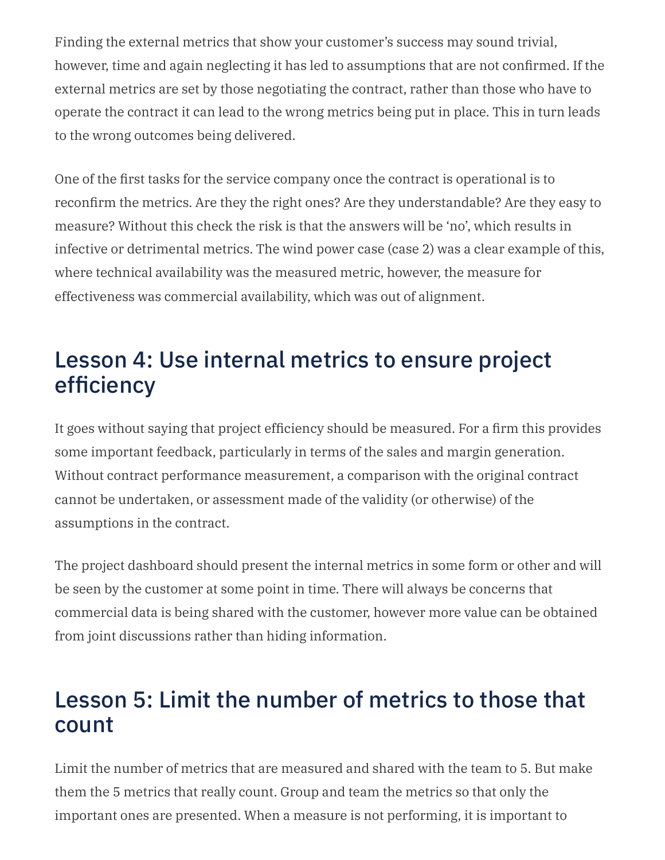Finding the external metrics that show your customer's success may sound trivial, however, time and again neglecting it has led to assumptions that are not confirmed. If the external metrics are set by those negotiating the contract, rather than those who have to operate the contract it can lead to the wrong metrics being put in place. This in turn leads to the wrong outcomes being delivered.

One of the first tasks for the service company once the contract is operational is to reconfirm the metrics. Are they the right ones? Are they understandable? Are they easy to measure? Without this check the risk is that the answers will be 'no', which results in infective or detrimental metrics. The wind power case (case 2) was a clear example of this, where technical availability was the measured metric, however, the measure for effectiveness was commercial availability, which was out of alignment.

### Lesson 4: Use internal metrics to ensure project efficiency

It goes without saying that project efficiency should be measured. For a firm this provides some important feedback, particularly in terms of the sales and margin generation. Without contract performance measurement, a comparison with the original contract cannot be undertaken, or assessment made of the validity (or otherwise) of the assumptions in the contract.

The project dashboard should present the internal metrics in some form or other and will be seen by the customer at some point in time. There will always be concerns that commercial data is being shared with the customer, however more value can be obtained from joint discussions rather than hiding information.

#### Lesson 5: Limit the number of metrics to those that count

Limit the number of metrics that are measured and shared with the team to 5. But make them the 5 metrics that really count. Group and team the metrics so that only the important ones are presented. When a measure is not performing, it is important to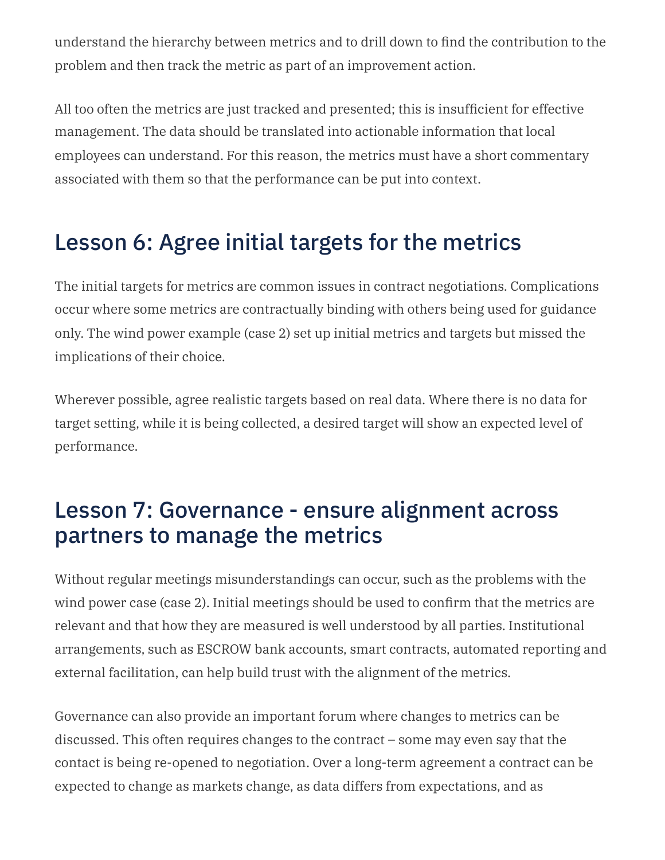understand the hierarchy between metrics and to drill down to find the contribution to the problem and then track the metric as part of an improvement action.

All too often the metrics are just tracked and presented; this is insufficient for effective management. The data should be translated into actionable information that local employees can understand. For this reason, the metrics must have a short commentary associated with them so that the performance can be put into context.

### Lesson 6: Agree initial targets for the metrics

The initial targets for metrics are common issues in contract negotiations. Complications occur where some metrics are contractually binding with others being used for guidance only. The wind power example (case 2) set up initial metrics and targets but missed the implications of their choice.

Wherever possible, agree realistic targets based on real data. Where there is no data for target setting, while it is being collected, a desired target will show an expected level of performance.

#### Lesson 7: Governance - ensure alignment across partners to manage the metrics

Without regular meetings misunderstandings can occur, such as the problems with the wind power case (case 2). Initial meetings should be used to confirm that the metrics are relevant and that how they are measured is well understood by all parties. Institutional arrangements, such as ESCROW bank accounts, smart contracts, automated reporting and external facilitation, can help build trust with the alignment of the metrics.

Governance can also provide an important forum where changes to metrics can be discussed. This often requires changes to the contract – some may even say that the contact is being re-opened to negotiation. Over a long-term agreement a contract can be expected to change as markets change, as data differs from expectations, and as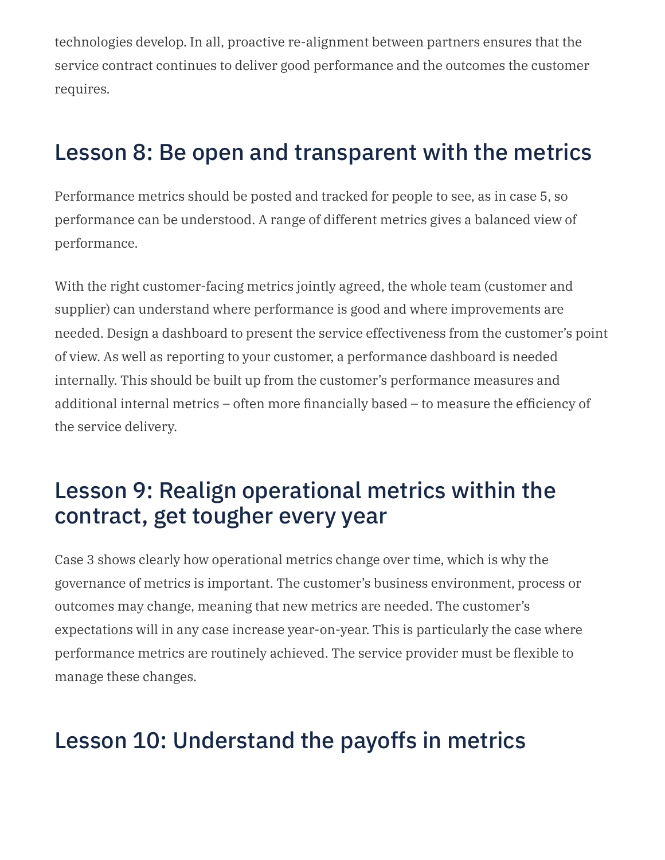technologies develop. In all, proactive re-alignment between partners ensures that the service contract continues to deliver good performance and the outcomes the customer requires.

#### Lesson 8: Be open and transparent with the metrics

Performance metrics should be posted and tracked for people to see, as in case 5, so performance can be understood. A range of different metrics gives a balanced view of performance.

With the right customer-facing metrics jointly agreed, the whole team (customer and supplier) can understand where performance is good and where improvements are needed. Design a dashboard to present the service effectiveness from the customer's point of view. As well as reporting to your customer, a performance dashboard is needed internally. This should be built up from the customer's performance measures and additional internal metrics – often more financially based – to measure the efficiency of the service delivery.

#### Lesson 9: Realign operational metrics within the contract, get tougher every year

Case 3 shows clearly how operational metrics change over time, which is why the governance of metrics is important. The customer's business environment, process or outcomes may change, meaning that new metrics are needed. The customer's expectations will in any case increase year-on-year. This is particularly the case where performance metrics are routinely achieved. The service provider must be flexible to manage these changes.

#### Lesson 10: Understand the payoffs in metrics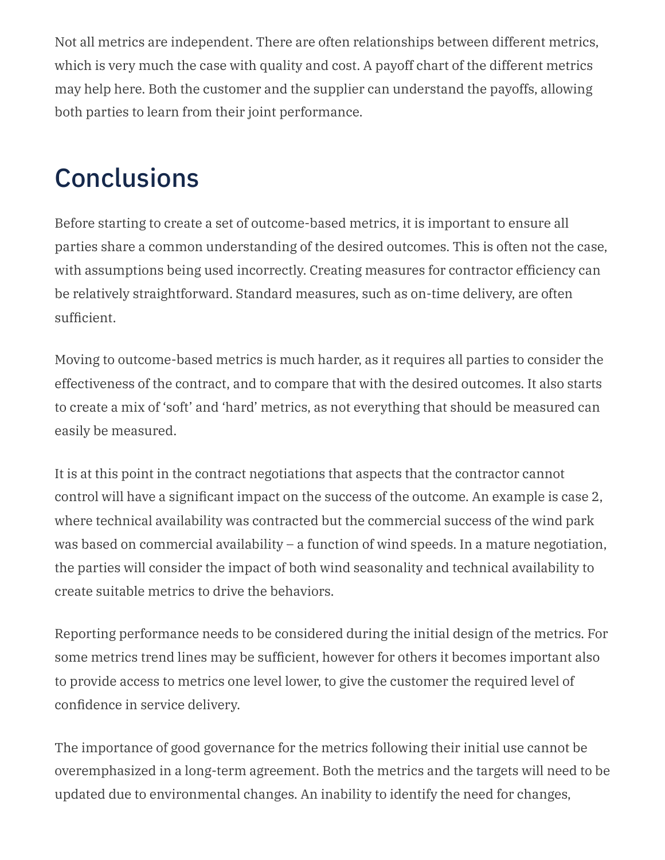Not all metrics are independent. There are often relationships between different metrics, which is very much the case with quality and cost. A payoff chart of the different metrics may help here. Both the customer and the supplier can understand the payoffs, allowing both parties to learn from their joint performance.

# **Conclusions**

Before starting to create a set of outcome-based metrics, it is important to ensure all parties share a common understanding of the desired outcomes. This is often not the case, with assumptions being used incorrectly. Creating measures for contractor efficiency can be relatively straightforward. Standard measures, such as on-time delivery, are often sufficient.

Moving to outcome-based metrics is much harder, as it requires all parties to consider the effectiveness of the contract, and to compare that with the desired outcomes. It also starts to create a mix of 'soft' and 'hard' metrics, as not everything that should be measured can easily be measured.

It is at this point in the contract negotiations that aspects that the contractor cannot control will have a significant impact on the success of the outcome. An example is case 2, where technical availability was contracted but the commercial success of the wind park was based on commercial availability – a function of wind speeds. In a mature negotiation, the parties will consider the impact of both wind seasonality and technical availability to create suitable metrics to drive the behaviors.

Reporting performance needs to be considered during the initial design of the metrics. For some metrics trend lines may be sufficient, however for others it becomes important also to provide access to metrics one level lower, to give the customer the required level of confidence in service delivery.

The importance of good governance for the metrics following their initial use cannot be overemphasized in a long-term agreement. Both the metrics and the targets will need to be updated due to environmental changes. An inability to identify the need for changes,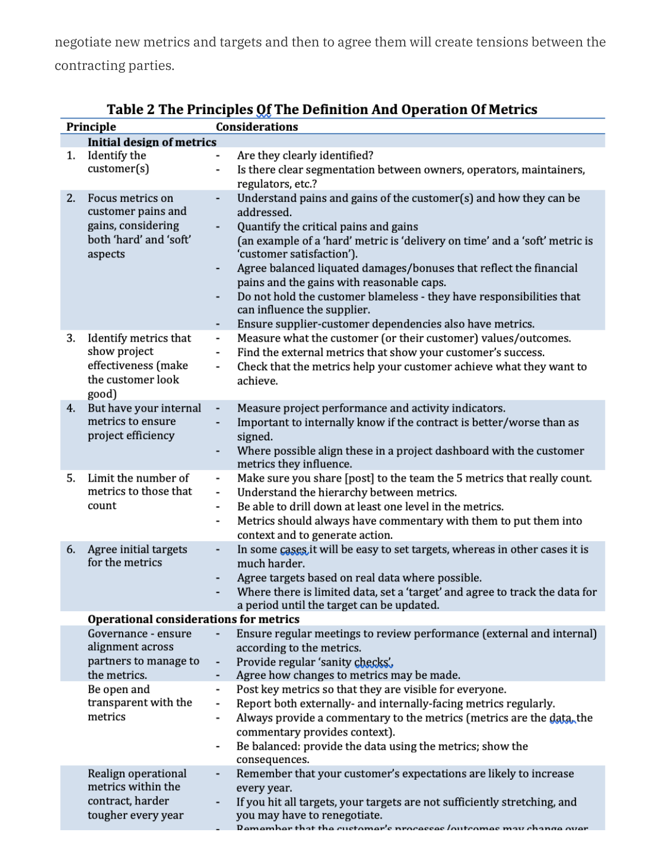negotiate new metrics and targets and then to agree them will create tensions between the contracting parties.

|                                        | Principle                                                                                         | Considerations                                                                                                                                                                                                                                                                                                                                                                                                                                                                                                                                                         |  |  |
|----------------------------------------|---------------------------------------------------------------------------------------------------|------------------------------------------------------------------------------------------------------------------------------------------------------------------------------------------------------------------------------------------------------------------------------------------------------------------------------------------------------------------------------------------------------------------------------------------------------------------------------------------------------------------------------------------------------------------------|--|--|
|                                        | <b>Initial design of metrics</b>                                                                  |                                                                                                                                                                                                                                                                                                                                                                                                                                                                                                                                                                        |  |  |
| 1.                                     | Identify the<br>customer(s)                                                                       | Are they clearly identified?<br>$\overline{\phantom{0}}$<br>Is there clear segmentation between owners, operators, maintainers,<br>$\overline{\phantom{0}}$<br>regulators, etc.?                                                                                                                                                                                                                                                                                                                                                                                       |  |  |
| 2.                                     | Focus metrics on<br>customer pains and<br>gains, considering<br>both 'hard' and 'soft'<br>aspects | Understand pains and gains of the customer(s) and how they can be<br>addressed.<br>Quantify the critical pains and gains<br>$\overline{\phantom{m}}$<br>(an example of a 'hard' metric is 'delivery on time' and a 'soft' metric is<br>'customer satisfaction').<br>Agree balanced liquated damages/bonuses that reflect the financial<br>-<br>pains and the gains with reasonable caps.<br>Do not hold the customer blameless - they have responsibilities that<br>۰<br>can influence the supplier.<br>Ensure supplier-customer dependencies also have metrics.<br>۰. |  |  |
| 3.                                     | Identify metrics that<br>show project<br>effectiveness (make<br>the customer look<br>good)        | Measure what the customer (or their customer) values/outcomes.<br>$\overline{\phantom{0}}$<br>Find the external metrics that show your customer's success.<br>$\overline{\phantom{0}}$<br>Check that the metrics help your customer achieve what they want to<br>$\overline{\phantom{0}}$<br>achieve.                                                                                                                                                                                                                                                                  |  |  |
| 4.                                     | But have your internal<br>metrics to ensure<br>project efficiency                                 | Measure project performance and activity indicators.<br>$\overline{\phantom{a}}$<br>Important to internally know if the contract is better/worse than as<br>-<br>signed.<br>Where possible align these in a project dashboard with the customer<br>-<br>metrics they influence.                                                                                                                                                                                                                                                                                        |  |  |
| 5.                                     | Limit the number of<br>metrics to those that<br>count                                             | Make sure you share [post] to the team the 5 metrics that really count.<br>-<br>Understand the hierarchy between metrics.<br>$\overline{\phantom{a}}$<br>Be able to drill down at least one level in the metrics.<br>$\overline{\phantom{a}}$<br>Metrics should always have commentary with them to put them into<br>$\qquad \qquad \blacksquare$<br>context and to generate action.                                                                                                                                                                                   |  |  |
| 6.                                     | Agree initial targets<br>for the metrics                                                          | In some cases it will be easy to set targets, whereas in other cases it is<br>much harder.<br>Agree targets based on real data where possible.<br>٠<br>Where there is limited data, set a 'target' and agree to track the data for<br>٠<br>a period until the target can be updated.                                                                                                                                                                                                                                                                                   |  |  |
| Operational considerations for metrics |                                                                                                   |                                                                                                                                                                                                                                                                                                                                                                                                                                                                                                                                                                        |  |  |
|                                        | Governance - ensure<br>alignment across<br>partners to manage to<br>the metrics.                  | Ensure regular meetings to review performance (external and internal)<br>according to the metrics.<br>Provide regular 'sanity checks',<br>Agree how changes to metrics may be made.<br>٠                                                                                                                                                                                                                                                                                                                                                                               |  |  |
|                                        | Be open and<br>transparent with the<br>metrics                                                    | Post key metrics so that they are visible for everyone.<br>-<br>Report both externally- and internally-facing metrics regularly.<br>Always provide a commentary to the metrics (metrics are the data, the<br>$\overline{\phantom{a}}$<br>commentary provides context).<br>Be balanced: provide the data using the metrics; show the<br>-<br>consequences.                                                                                                                                                                                                              |  |  |
|                                        | Realign operational<br>metrics within the<br>contract, harder<br>tougher every year               | Remember that your customer's expectations are likely to increase<br>every year.<br>If you hit all targets, your targets are not sufficiently stretching, and<br>you may have to renegotiate.<br>Remember that the customer's processes /outcomes may change over                                                                                                                                                                                                                                                                                                      |  |  |

| Table 2 The Principles Of The Definition And Operation Of Metrics |
|-------------------------------------------------------------------|
|-------------------------------------------------------------------|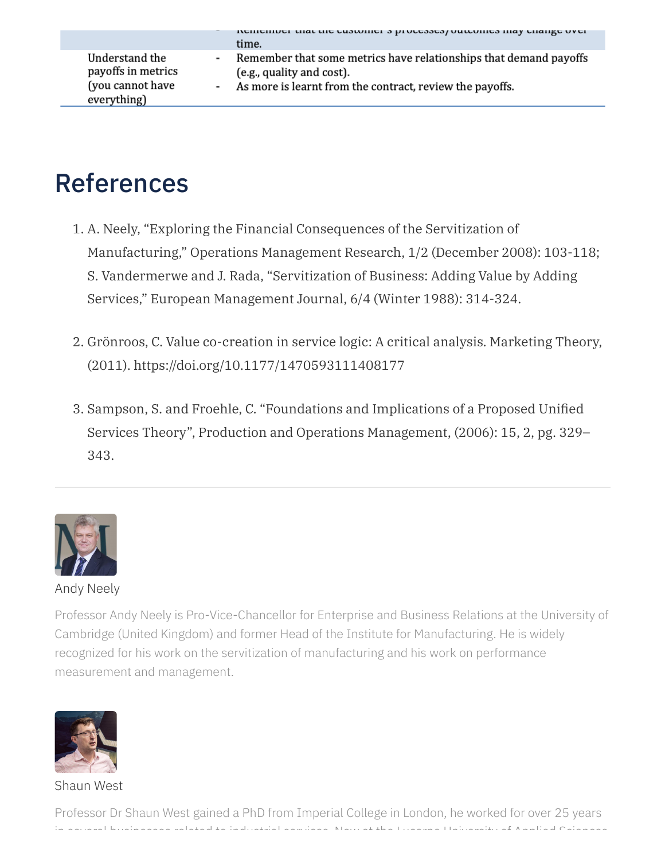|                                                                         |   | tremember mat me customer s processes/outcomes may change over<br>time.                                                                                      |
|-------------------------------------------------------------------------|---|--------------------------------------------------------------------------------------------------------------------------------------------------------------|
| Understand the<br>payoffs in metrics<br>(you cannot have<br>everything) | ٠ | Remember that some metrics have relationships that demand payoffs<br>(e.g., quality and cost).<br>- As more is learnt from the contract, review the payoffs. |

## References

- 1. A. Neely, "Exploring the Financial Consequences of the Servitization of Manufacturing," Operations Management Research, 1/2 (December 2008): 103-118; S. Vandermerwe and J. Rada, "Servitization of Business: Adding Value by Adding Services," European Management Journal, 6/4 (Winter 1988): 314-324.
- 2. Grönroos, C. Value co-creation in service logic: A critical analysis. Marketing Theory, (2011). https://doi.org/10.1177/1470593111408177
- 3. Sampson, S. and Froehle, C. "Foundations and Implications of a Proposed Unified Services Theory", Production and Operations Management, (2006): 15, 2, pg. 329– 343.



#### Andy [Neely](http://localhost:4000/2022/06/aligning-performance-metrics-in-outcome-based-contracts/)

Professor Andy Neely is Pro-Vice-Chancellor for Enterprise and Business Relations at the University of Cambridge (United Kingdom) and former Head of the Institute for Manufacturing. He is widely recognized for his work on the servitization of manufacturing and his work on performance measurement and management.



[Shaun](http://localhost:4000/2022/06/aligning-performance-metrics-in-outcome-based-contracts/) West

Professor Dr Shaun West gained a PhD from Imperial College in London, he worked for over 25 years in several businesses related to industrial services Now at the Lucerne University of Applied Sciences